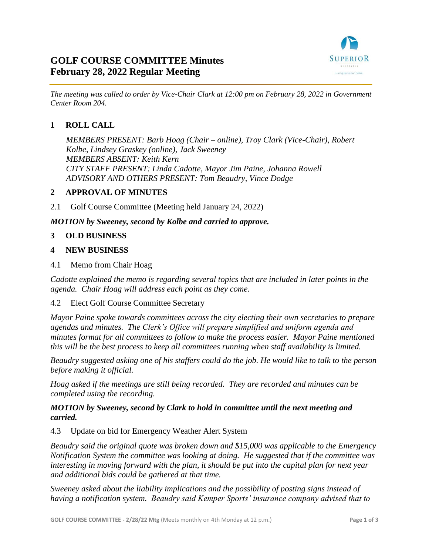

# **GOLF COURSE COMMITTEE Minutes February 28, 2022 Regular Meeting**

*The meeting was called to order by Vice-Chair Clark at 12:00 pm on February 28, 2022 in Government Center Room 204.*

# **1 ROLL CALL**

*MEMBERS PRESENT: Barb Hoag (Chair – online), Troy Clark (Vice-Chair), Robert Kolbe, Lindsey Graskey (online), Jack Sweeney MEMBERS ABSENT: Keith Kern CITY STAFF PRESENT: Linda Cadotte, Mayor Jim Paine, Johanna Rowell ADVISORY AND OTHERS PRESENT: Tom Beaudry, Vince Dodge*

## **2 APPROVAL OF MINUTES**

2.1 Golf Course Committee (Meeting held January 24, 2022)

*MOTION by Sweeney, second by Kolbe and carried to approve.*

#### **3 OLD BUSINESS**

#### **4 NEW BUSINESS**

4.1 Memo from Chair Hoag

*Cadotte explained the memo is regarding several topics that are included in later points in the agenda. Chair Hoag will address each point as they come.*

#### 4.2 Elect Golf Course Committee Secretary

*Mayor Paine spoke towards committees across the city electing their own secretaries to prepare agendas and minutes. The Clerk's Office will prepare simplified and uniform agenda and minutes format for all committees to follow to make the process easier. Mayor Paine mentioned this will be the best process to keep all committees running when staff availability is limited.*

*Beaudry suggested asking one of his staffers could do the job. He would like to talk to the person before making it official.*

*Hoag asked if the meetings are still being recorded. They are recorded and minutes can be completed using the recording.*

#### *MOTION by Sweeney, second by Clark to hold in committee until the next meeting and carried.*

4.3 Update on bid for Emergency Weather Alert System

*Beaudry said the original quote was broken down and \$15,000 was applicable to the Emergency Notification System the committee was looking at doing. He suggested that if the committee was interesting in moving forward with the plan, it should be put into the capital plan for next year and additional bids could be gathered at that time.*

*Sweeney asked about the liability implications and the possibility of posting signs instead of having a notification system. Beaudry said Kemper Sports' insurance company advised that to*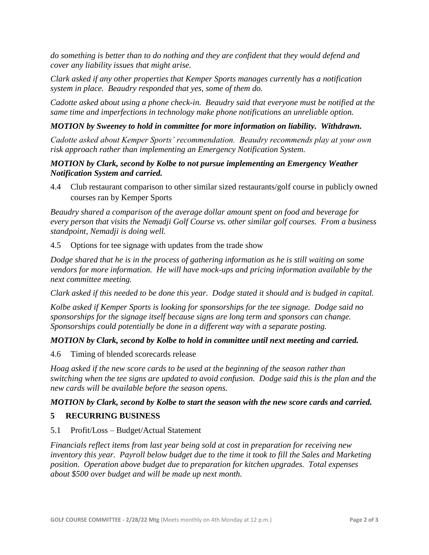*do something is better than to do nothing and they are confident that they would defend and cover any liability issues that might arise.* 

*Clark asked if any other properties that Kemper Sports manages currently has a notification system in place. Beaudry responded that yes, some of them do.*

*Cadotte asked about using a phone check-in. Beaudry said that everyone must be notified at the same time and imperfections in technology make phone notifications an unreliable option.*

## *MOTION by Sweeney to hold in committee for more information on liability. Withdrawn.*

*Cadotte asked about Kemper Sports' recommendation. Beaudry recommends play at your own risk approach rather than implementing an Emergency Notification System.*

## *MOTION by Clark, second by Kolbe to not pursue implementing an Emergency Weather Notification System and carried.*

4.4 Club restaurant comparison to other similar sized restaurants/golf course in publicly owned courses ran by Kemper Sports

*Beaudry shared a comparison of the average dollar amount spent on food and beverage for every person that visits the Nemadji Golf Course vs. other similar golf courses. From a business standpoint, Nemadji is doing well.*

4.5 Options for tee signage with updates from the trade show

*Dodge shared that he is in the process of gathering information as he is still waiting on some vendors for more information. He will have mock-ups and pricing information available by the next committee meeting.*

*Clark asked if this needed to be done this year. Dodge stated it should and is budged in capital.*

*Kolbe asked if Kemper Sports is looking for sponsorships for the tee signage. Dodge said no sponsorships for the signage itself because signs are long term and sponsors can change. Sponsorships could potentially be done in a different way with a separate posting.*

## *MOTION by Clark, second by Kolbe to hold in committee until next meeting and carried.*

4.6 Timing of blended scorecards release

*Hoag asked if the new score cards to be used at the beginning of the season rather than switching when the tee signs are updated to avoid confusion. Dodge said this is the plan and the new cards will be available before the season opens.*

## *MOTION by Clark, second by Kolbe to start the season with the new score cards and carried.*

# **5 RECURRING BUSINESS**

5.1 Profit/Loss – Budget/Actual Statement

*Financials reflect items from last year being sold at cost in preparation for receiving new inventory this year. Payroll below budget due to the time it took to fill the Sales and Marketing position. Operation above budget due to preparation for kitchen upgrades. Total expenses about \$500 over budget and will be made up next month.*